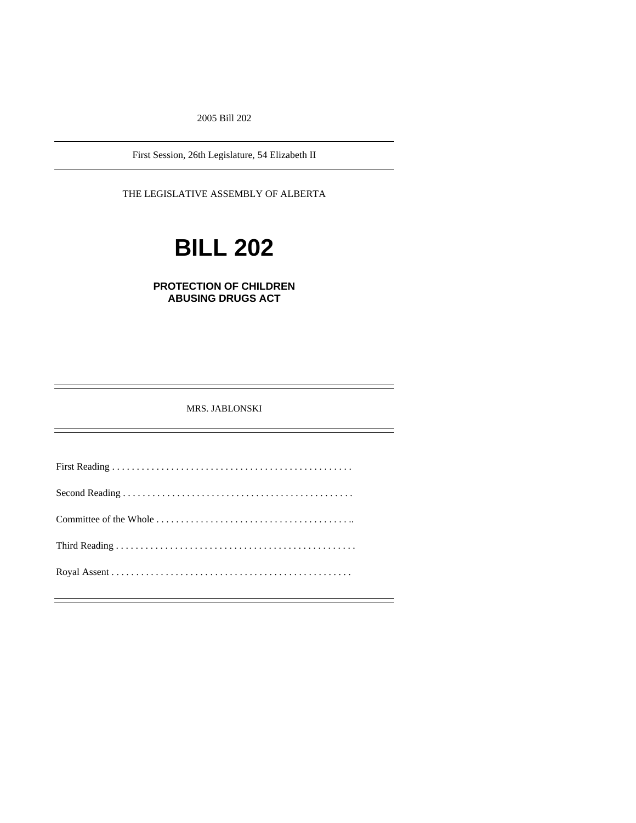2005 Bill 202

First Session, 26th Legislature, 54 Elizabeth II

THE LEGISLATIVE ASSEMBLY OF ALBERTA

# **BILL 202**

# **PROTECTION OF CHILDREN ABUSING DRUGS ACT**

MRS. JABLONSKI

First Reading . . . . . . . . . . . . . . . . . . . . . . . . . . . . . . . . . . . . . . . . . . . . . . . . . Second Reading . . . . . . . . . . . . . . . . . . . . . . . . . . . . . . . . . . . . . . . . . . . . . . . Committee of the Whole . . . . . . . . . . . . . . . . . . . . . . . . . . . . . . . . . . . . . . . .. Third Reading . . . . . . . . . . . . . . . . . . . . . . . . . . . . . . . . . . . . . . . . . . . . . . . . . Royal Assent . . . . . . . . . . . . . . . . . . . . . . . . . . . . . . . . . . . . . . . . . . . . . . . . .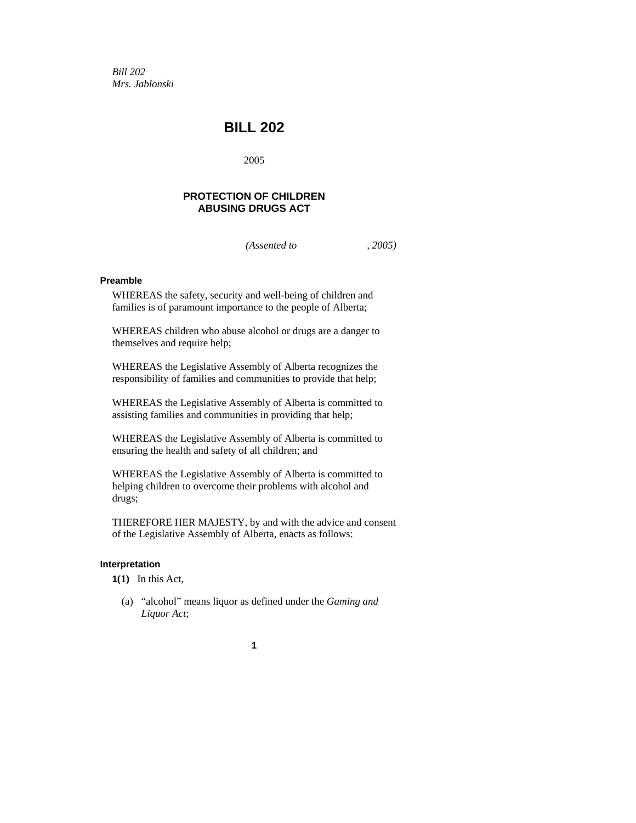*Bill 202 Mrs. Jablonski* 

# **BILL 202**

2005

# **PROTECTION OF CHILDREN ABUSING DRUGS ACT**

*(Assented to , 2005)* 

# **Preamble**

WHEREAS the safety, security and well-being of children and families is of paramount importance to the people of Alberta;

WHEREAS children who abuse alcohol or drugs are a danger to themselves and require help;

WHEREAS the Legislative Assembly of Alberta recognizes the responsibility of families and communities to provide that help;

WHEREAS the Legislative Assembly of Alberta is committed to assisting families and communities in providing that help;

WHEREAS the Legislative Assembly of Alberta is committed to ensuring the health and safety of all children; and

WHEREAS the Legislative Assembly of Alberta is committed to helping children to overcome their problems with alcohol and drugs;

THEREFORE HER MAJESTY, by and with the advice and consent of the Legislative Assembly of Alberta, enacts as follows:

#### **Interpretation**

**1(1)** In this Act,

 (a) "alcohol" means liquor as defined under the *Gaming and Liquor Act*;

**1**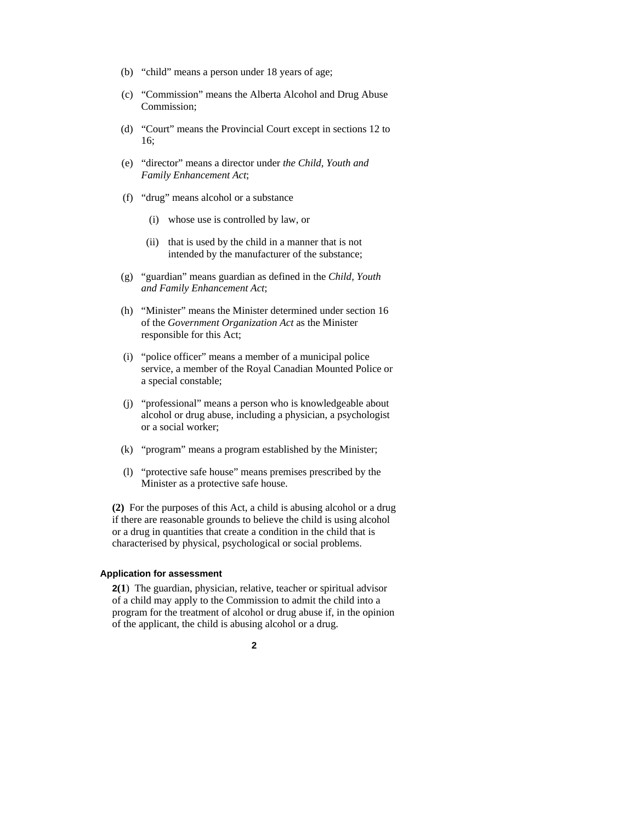- (b) "child" means a person under 18 years of age;
- (c) "Commission" means the Alberta Alcohol and Drug Abuse Commission;
- (d) "Court" means the Provincial Court except in sections 12 to 16;
- (e) "director" means a director under *the Child, Youth and Family Enhancement Act*;
- (f) "drug" means alcohol or a substance
	- (i) whose use is controlled by law, or
	- (ii) that is used by the child in a manner that is not intended by the manufacturer of the substance;
- (g) "guardian" means guardian as defined in the *Child, Youth and Family Enhancement Act*;
- (h) "Minister" means the Minister determined under section 16 of the *Government Organization Act* as the Minister responsible for this Act;
- (i) "police officer" means a member of a municipal police service, a member of the Royal Canadian Mounted Police or a special constable;
- (j) "professional" means a person who is knowledgeable about alcohol or drug abuse, including a physician, a psychologist or a social worker;
- (k) "program" means a program established by the Minister;
- (l) "protective safe house" means premises prescribed by the Minister as a protective safe house.

**(2)** For the purposes of this Act, a child is abusing alcohol or a drug if there are reasonable grounds to believe the child is using alcohol or a drug in quantities that create a condition in the child that is characterised by physical, psychological or social problems.

#### **Application for assessment**

**2(1**) The guardian, physician, relative, teacher or spiritual advisor of a child may apply to the Commission to admit the child into a program for the treatment of alcohol or drug abuse if, in the opinion of the applicant, the child is abusing alcohol or a drug.

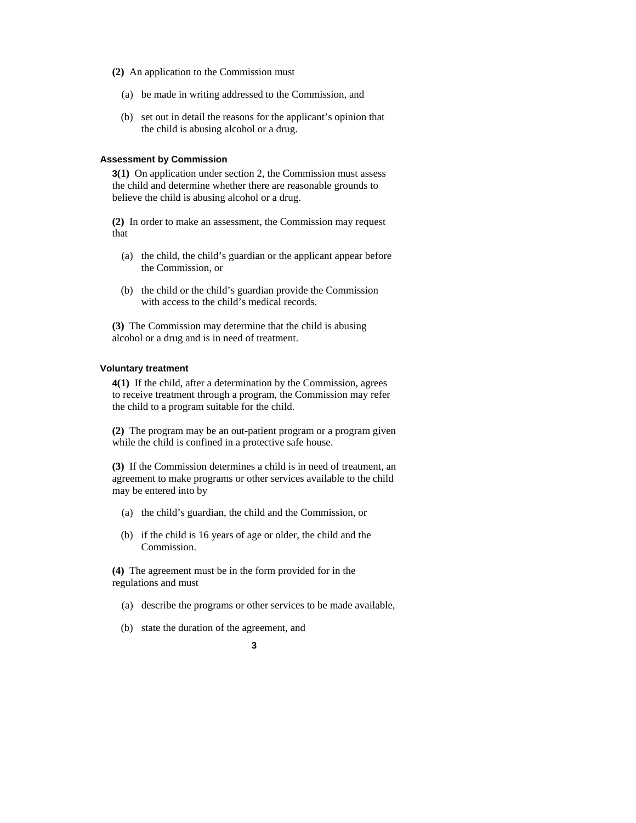- **(2)** An application to the Commission must
	- (a) be made in writing addressed to the Commission, and
	- (b) set out in detail the reasons for the applicant's opinion that the child is abusing alcohol or a drug.

#### **Assessment by Commission**

**3(1)** On application under section 2, the Commission must assess the child and determine whether there are reasonable grounds to believe the child is abusing alcohol or a drug.

**(2)** In order to make an assessment, the Commission may request that

- (a) the child, the child's guardian or the applicant appear before the Commission, or
- (b) the child or the child's guardian provide the Commission with access to the child's medical records.

**(3)** The Commission may determine that the child is abusing alcohol or a drug and is in need of treatment.

#### **Voluntary treatment**

**4(1)** If the child, after a determination by the Commission, agrees to receive treatment through a program, the Commission may refer the child to a program suitable for the child.

**(2)** The program may be an out-patient program or a program given while the child is confined in a protective safe house.

**(3)** If the Commission determines a child is in need of treatment, an agreement to make programs or other services available to the child may be entered into by

- (a) the child's guardian, the child and the Commission, or
- (b) if the child is 16 years of age or older, the child and the Commission.

**(4)** The agreement must be in the form provided for in the regulations and must

- (a) describe the programs or other services to be made available,
- (b) state the duration of the agreement, and

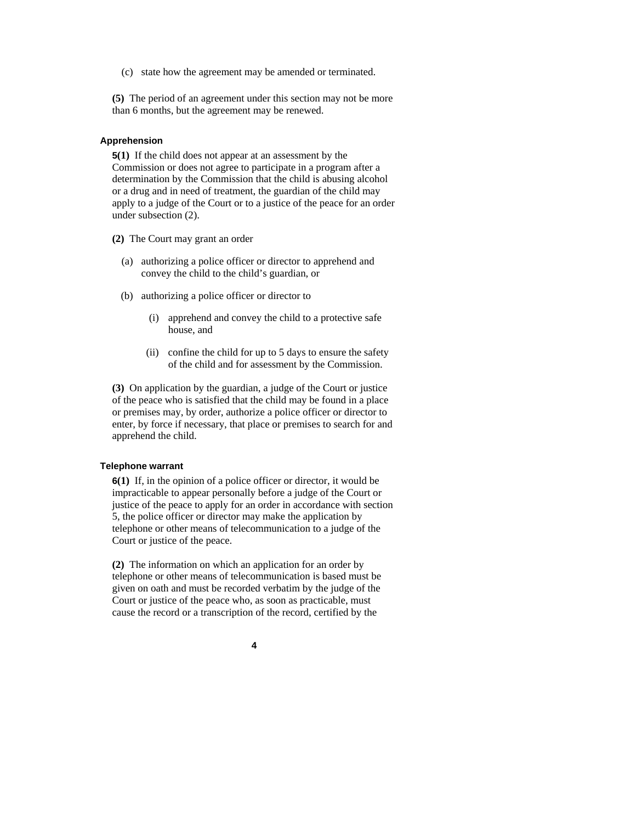(c) state how the agreement may be amended or terminated.

**(5)** The period of an agreement under this section may not be more than 6 months, but the agreement may be renewed.

#### **Apprehension**

**5(1)** If the child does not appear at an assessment by the Commission or does not agree to participate in a program after a determination by the Commission that the child is abusing alcohol or a drug and in need of treatment, the guardian of the child may apply to a judge of the Court or to a justice of the peace for an order under subsection (2).

**(2)** The Court may grant an order

- (a) authorizing a police officer or director to apprehend and convey the child to the child's guardian, or
- (b) authorizing a police officer or director to
	- (i) apprehend and convey the child to a protective safe house, and
	- (ii) confine the child for up to 5 days to ensure the safety of the child and for assessment by the Commission.

**(3)** On application by the guardian, a judge of the Court or justice of the peace who is satisfied that the child may be found in a place or premises may, by order, authorize a police officer or director to enter, by force if necessary, that place or premises to search for and apprehend the child.

#### **Telephone warrant**

**6(1)** If, in the opinion of a police officer or director, it would be impracticable to appear personally before a judge of the Court or justice of the peace to apply for an order in accordance with section 5, the police officer or director may make the application by telephone or other means of telecommunication to a judge of the Court or justice of the peace.

**(2)** The information on which an application for an order by telephone or other means of telecommunication is based must be given on oath and must be recorded verbatim by the judge of the Court or justice of the peace who, as soon as practicable, must cause the record or a transcription of the record, certified by the

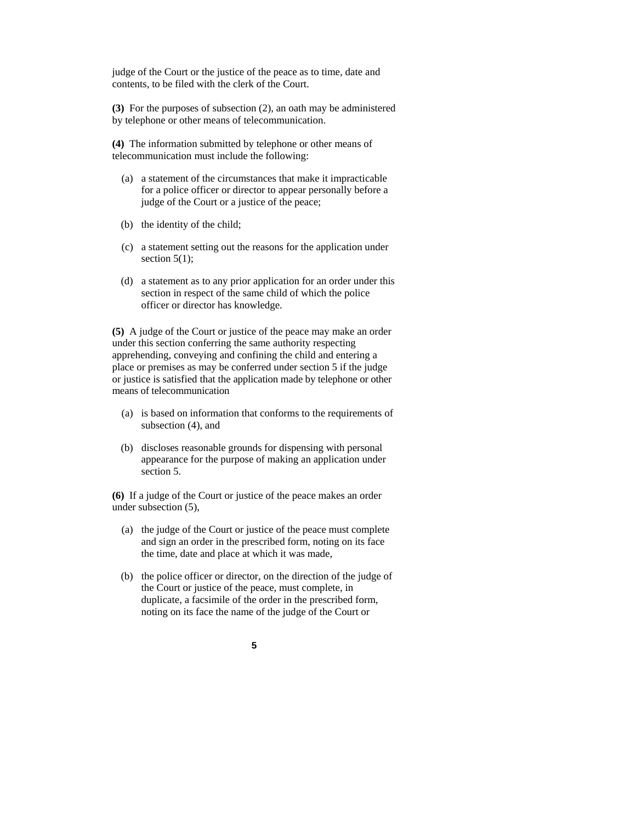judge of the Court or the justice of the peace as to time, date and contents, to be filed with the clerk of the Court.

**(3)** For the purposes of subsection (2), an oath may be administered by telephone or other means of telecommunication.

**(4)** The information submitted by telephone or other means of telecommunication must include the following:

- (a) a statement of the circumstances that make it impracticable for a police officer or director to appear personally before a judge of the Court or a justice of the peace;
- (b) the identity of the child;
- (c) a statement setting out the reasons for the application under section  $5(1)$ ;
- (d) a statement as to any prior application for an order under this section in respect of the same child of which the police officer or director has knowledge.

**(5)** A judge of the Court or justice of the peace may make an order under this section conferring the same authority respecting apprehending, conveying and confining the child and entering a place or premises as may be conferred under section 5 if the judge or justice is satisfied that the application made by telephone or other means of telecommunication

- (a) is based on information that conforms to the requirements of subsection (4), and
- (b) discloses reasonable grounds for dispensing with personal appearance for the purpose of making an application under section 5.

**(6)** If a judge of the Court or justice of the peace makes an order under subsection (5),

- (a) the judge of the Court or justice of the peace must complete and sign an order in the prescribed form, noting on its face the time, date and place at which it was made,
- (b) the police officer or director, on the direction of the judge of the Court or justice of the peace, must complete, in duplicate, a facsimile of the order in the prescribed form, noting on its face the name of the judge of the Court or
	- **5**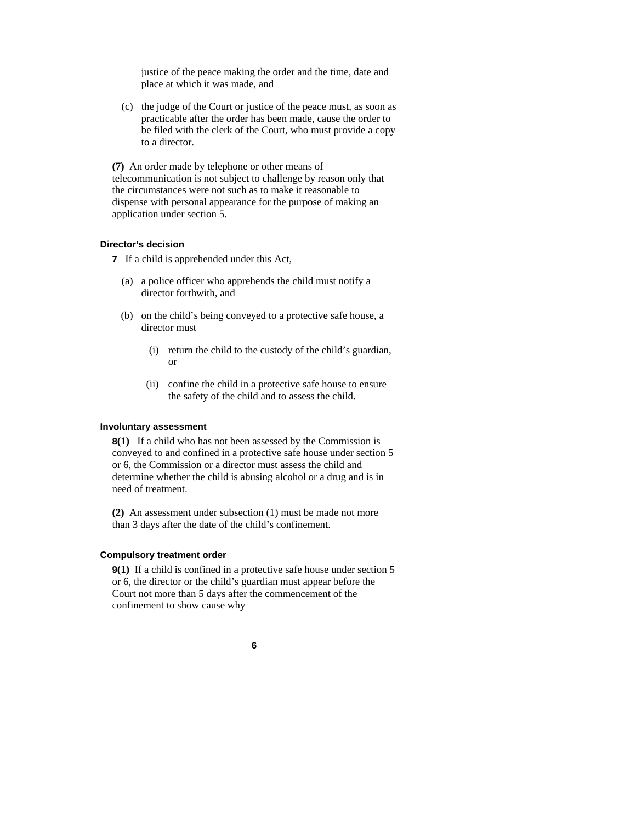justice of the peace making the order and the time, date and place at which it was made, and

 (c) the judge of the Court or justice of the peace must, as soon as practicable after the order has been made, cause the order to be filed with the clerk of the Court, who must provide a copy to a director.

**(7)** An order made by telephone or other means of telecommunication is not subject to challenge by reason only that the circumstances were not such as to make it reasonable to dispense with personal appearance for the purpose of making an application under section 5.

#### **Director's decision**

**7** If a child is apprehended under this Act,

- (a) a police officer who apprehends the child must notify a director forthwith, and
- (b) on the child's being conveyed to a protective safe house, a director must
	- (i) return the child to the custody of the child's guardian, or
	- (ii) confine the child in a protective safe house to ensure the safety of the child and to assess the child.

#### **Involuntary assessment**

**8(1)** If a child who has not been assessed by the Commission is conveyed to and confined in a protective safe house under section 5 or 6, the Commission or a director must assess the child and determine whether the child is abusing alcohol or a drug and is in need of treatment.

**(2)** An assessment under subsection (1) must be made not more than 3 days after the date of the child's confinement.

#### **Compulsory treatment order**

**9(1)** If a child is confined in a protective safe house under section 5 or 6, the director or the child's guardian must appear before the Court not more than 5 days after the commencement of the confinement to show cause why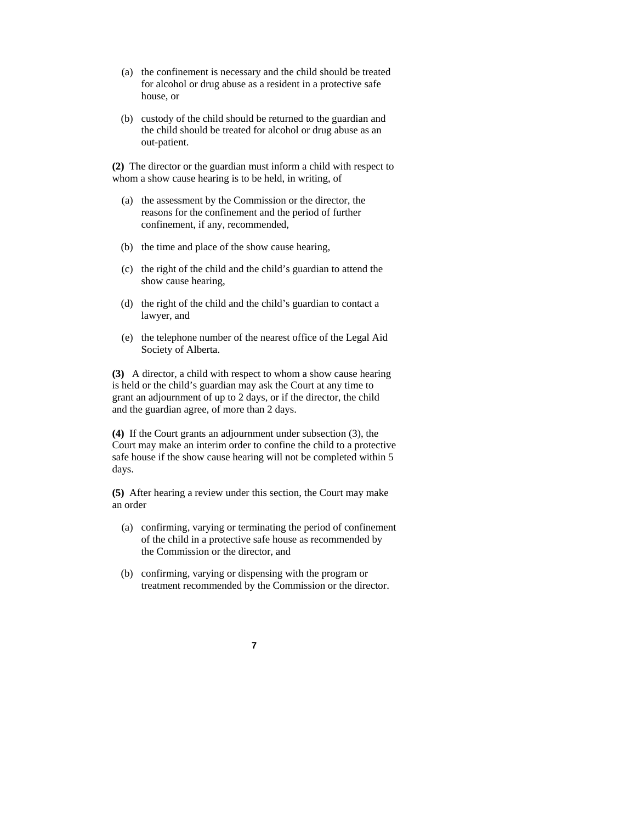- (a) the confinement is necessary and the child should be treated for alcohol or drug abuse as a resident in a protective safe house, or
- (b) custody of the child should be returned to the guardian and the child should be treated for alcohol or drug abuse as an out-patient.

**(2)** The director or the guardian must inform a child with respect to whom a show cause hearing is to be held, in writing, of

- (a) the assessment by the Commission or the director, the reasons for the confinement and the period of further confinement, if any, recommended,
- (b) the time and place of the show cause hearing,
- (c) the right of the child and the child's guardian to attend the show cause hearing,
- (d) the right of the child and the child's guardian to contact a lawyer, and
- (e) the telephone number of the nearest office of the Legal Aid Society of Alberta.

**(3)** A director, a child with respect to whom a show cause hearing is held or the child's guardian may ask the Court at any time to grant an adjournment of up to 2 days, or if the director, the child and the guardian agree, of more than 2 days.

**(4)** If the Court grants an adjournment under subsection (3), the Court may make an interim order to confine the child to a protective safe house if the show cause hearing will not be completed within 5 days.

**(5)** After hearing a review under this section, the Court may make an order

- (a) confirming, varying or terminating the period of confinement of the child in a protective safe house as recommended by the Commission or the director, and
- (b) confirming, varying or dispensing with the program or treatment recommended by the Commission or the director.

#### **7**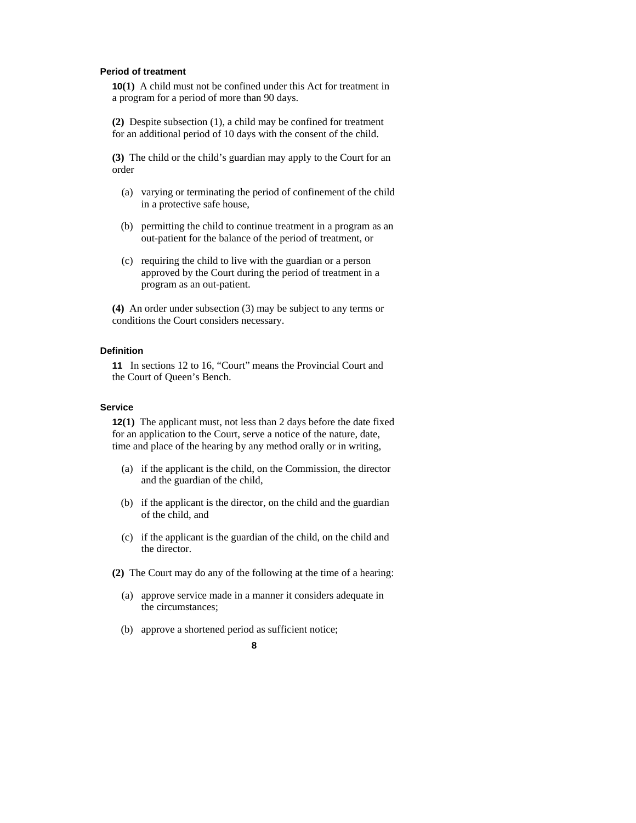#### **Period of treatment**

**10(1)** A child must not be confined under this Act for treatment in a program for a period of more than 90 days.

**(2)** Despite subsection (1), a child may be confined for treatment for an additional period of 10 days with the consent of the child.

**(3)** The child or the child's guardian may apply to the Court for an order

- (a) varying or terminating the period of confinement of the child in a protective safe house,
- (b) permitting the child to continue treatment in a program as an out-patient for the balance of the period of treatment, or
- (c) requiring the child to live with the guardian or a person approved by the Court during the period of treatment in a program as an out-patient.

**(4)** An order under subsection (3) may be subject to any terms or conditions the Court considers necessary.

#### **Definition**

**11** In sections 12 to 16, "Court" means the Provincial Court and the Court of Queen's Bench.

## **Service**

**12(1)** The applicant must, not less than 2 days before the date fixed for an application to the Court, serve a notice of the nature, date, time and place of the hearing by any method orally or in writing,

- (a) if the applicant is the child, on the Commission, the director and the guardian of the child,
- (b) if the applicant is the director, on the child and the guardian of the child, and
- (c) if the applicant is the guardian of the child, on the child and the director.
- **(2)** The Court may do any of the following at the time of a hearing:
	- (a) approve service made in a manner it considers adequate in the circumstances;
	- (b) approve a shortened period as sufficient notice;

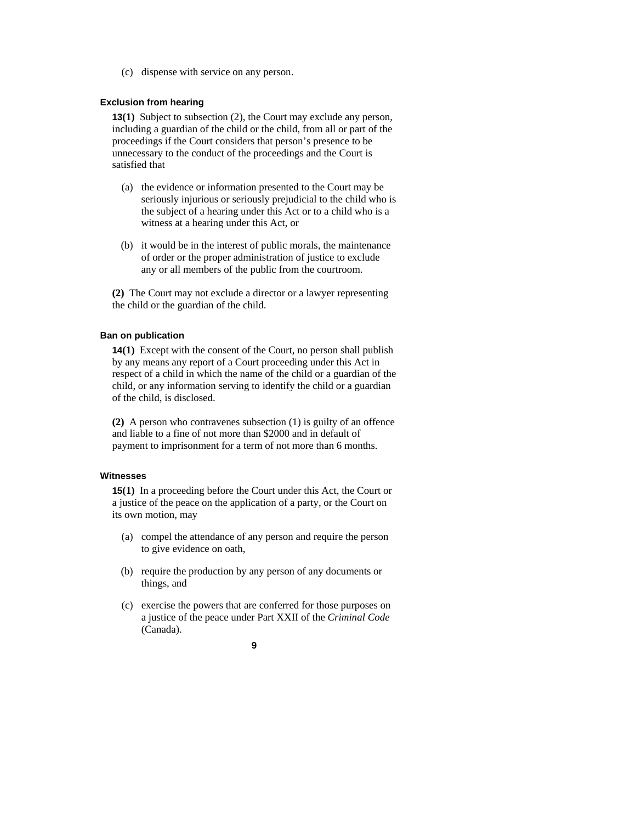(c) dispense with service on any person.

# **Exclusion from hearing**

**13(1)** Subject to subsection (2), the Court may exclude any person, including a guardian of the child or the child, from all or part of the proceedings if the Court considers that person's presence to be unnecessary to the conduct of the proceedings and the Court is satisfied that

- (a) the evidence or information presented to the Court may be seriously injurious or seriously prejudicial to the child who is the subject of a hearing under this Act or to a child who is a witness at a hearing under this Act, or
- (b) it would be in the interest of public morals, the maintenance of order or the proper administration of justice to exclude any or all members of the public from the courtroom.

**(2)** The Court may not exclude a director or a lawyer representing the child or the guardian of the child.

#### **Ban on publication**

**14(1)** Except with the consent of the Court, no person shall publish by any means any report of a Court proceeding under this Act in respect of a child in which the name of the child or a guardian of the child, or any information serving to identify the child or a guardian of the child, is disclosed.

**(2)** A person who contravenes subsection (1) is guilty of an offence and liable to a fine of not more than \$2000 and in default of payment to imprisonment for a term of not more than 6 months.

# **Witnesses**

**15(1)** In a proceeding before the Court under this Act, the Court or a justice of the peace on the application of a party, or the Court on its own motion, may

- (a) compel the attendance of any person and require the person to give evidence on oath,
- (b) require the production by any person of any documents or things, and
- (c) exercise the powers that are conferred for those purposes on a justice of the peace under Part XXII of the *Criminal Code* (Canada).

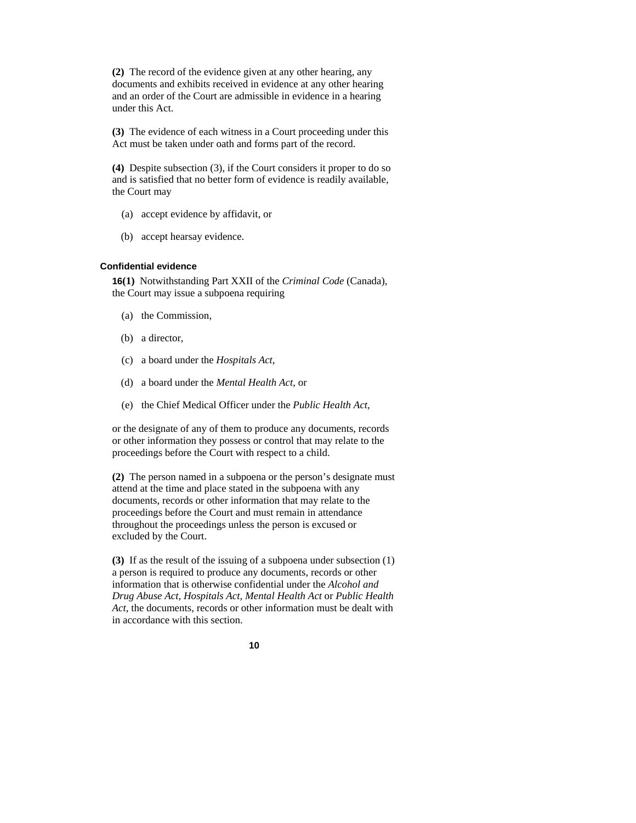**(2)** The record of the evidence given at any other hearing, any documents and exhibits received in evidence at any other hearing and an order of the Court are admissible in evidence in a hearing under this Act.

**(3)** The evidence of each witness in a Court proceeding under this Act must be taken under oath and forms part of the record.

**(4)** Despite subsection (3), if the Court considers it proper to do so and is satisfied that no better form of evidence is readily available, the Court may

- (a) accept evidence by affidavit, or
- (b) accept hearsay evidence.

#### **Confidential evidence**

**16(1)** Notwithstanding Part XXII of the *Criminal Code* (Canada), the Court may issue a subpoena requiring

- (a) the Commission,
- (b) a director,
- (c) a board under the *Hospitals Act*,
- (d) a board under the *Mental Health Act*, or
- (e) the Chief Medical Officer under the *Public Health Act*,

or the designate of any of them to produce any documents, records or other information they possess or control that may relate to the proceedings before the Court with respect to a child.

**(2)** The person named in a subpoena or the person's designate must attend at the time and place stated in the subpoena with any documents, records or other information that may relate to the proceedings before the Court and must remain in attendance throughout the proceedings unless the person is excused or excluded by the Court.

**(3)** If as the result of the issuing of a subpoena under subsection (1) a person is required to produce any documents, records or other information that is otherwise confidential under the *Alcohol and Drug Abuse Act, Hospitals Act, Mental Health Act* or *Public Health Act*, the documents, records or other information must be dealt with in accordance with this section.